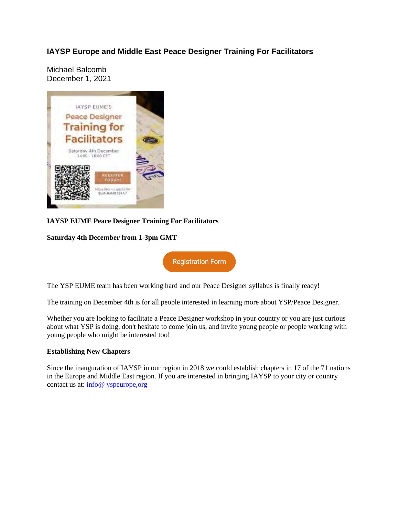## **IAYSP Europe and Middle East Peace Designer Training For Facilitators**

Michael Balcomb December 1, 2021



### **IAYSP EUME Peace Designer Training For Facilitators**

#### **Saturday 4th December from 1-3pm GMT**

**Registration Form** 

The YSP EUME team has been working hard and our Peace Designer syllabus is finally ready!

The training on December 4th is for all people interested in learning more about YSP/Peace Designer.

Whether you are looking to facilitate a Peace Designer workshop in your country or you are just curious about what YSP is doing, don't hesitate to come join us, and invite young people or people working with young people who might be interested too!

#### **Establishing New Chapters**

Since the inauguration of IAYSP in our region in 2018 we could establish chapters in 17 of the 71 nations in the Europe and Middle East region. If you are interested in bringing IAYSP to your city or country contact us at: info@ yspeurope,org